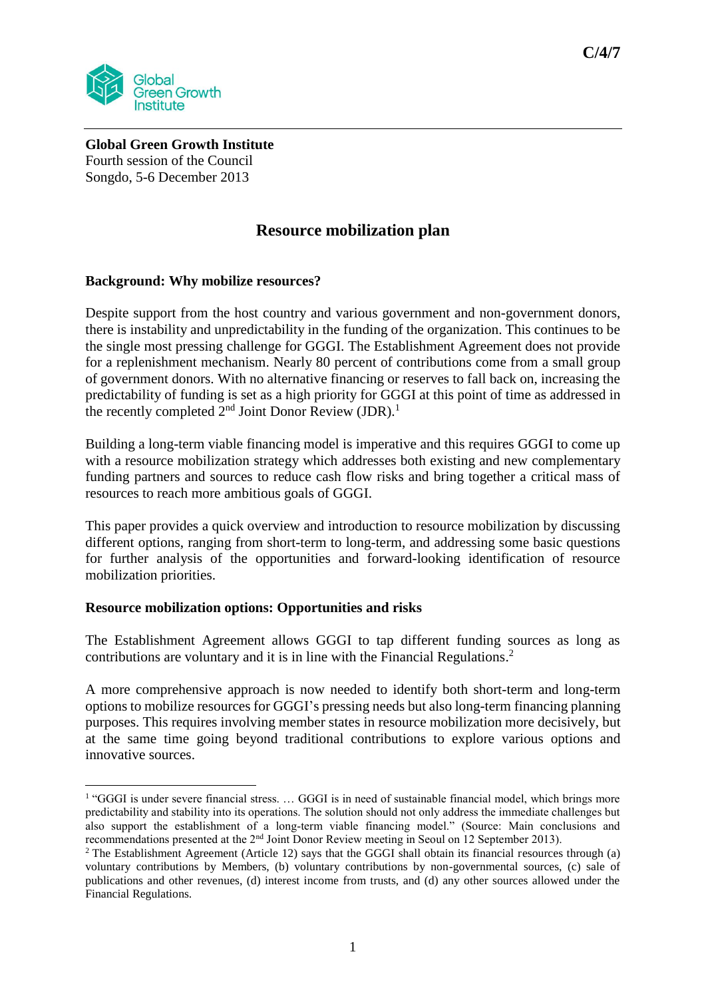

**Global Green Growth Institute** Fourth session of the Council Songdo, 5-6 December 2013

# **Resource mobilization plan**

## **Background: Why mobilize resources?**

Despite support from the host country and various government and non-government donors, there is instability and unpredictability in the funding of the organization. This continues to be the single most pressing challenge for GGGI. The Establishment Agreement does not provide for a replenishment mechanism. Nearly 80 percent of contributions come from a small group of government donors. With no alternative financing or reserves to fall back on, increasing the predictability of funding is set as a high priority for GGGI at this point of time as addressed in the recently completed  $2<sup>nd</sup>$  Joint Donor Review (JDR).<sup>1</sup>

Building a long-term viable financing model is imperative and this requires GGGI to come up with a resource mobilization strategy which addresses both existing and new complementary funding partners and sources to reduce cash flow risks and bring together a critical mass of resources to reach more ambitious goals of GGGI.

This paper provides a quick overview and introduction to resource mobilization by discussing different options, ranging from short-term to long-term, and addressing some basic questions for further analysis of the opportunities and forward-looking identification of resource mobilization priorities.

#### **Resource mobilization options: Opportunities and risks**

The Establishment Agreement allows GGGI to tap different funding sources as long as contributions are voluntary and it is in line with the Financial Regulations. 2

A more comprehensive approach is now needed to identify both short-term and long-term options to mobilize resources for GGGI's pressing needs but also long-term financing planning purposes. This requires involving member states in resource mobilization more decisively, but at the same time going beyond traditional contributions to explore various options and innovative sources.

 1 "GGGI is under severe financial stress. … GGGI is in need of sustainable financial model, which brings more predictability and stability into its operations. The solution should not only address the immediate challenges but also support the establishment of a long-term viable financing model." (Source: Main conclusions and recommendations presented at the 2nd Joint Donor Review meeting in Seoul on 12 September 2013).

<sup>&</sup>lt;sup>2</sup> The Establishment Agreement (Article 12) says that the GGGI shall obtain its financial resources through (a) voluntary contributions by Members, (b) voluntary contributions by non-governmental sources, (c) sale of publications and other revenues, (d) interest income from trusts, and (d) any other sources allowed under the Financial Regulations.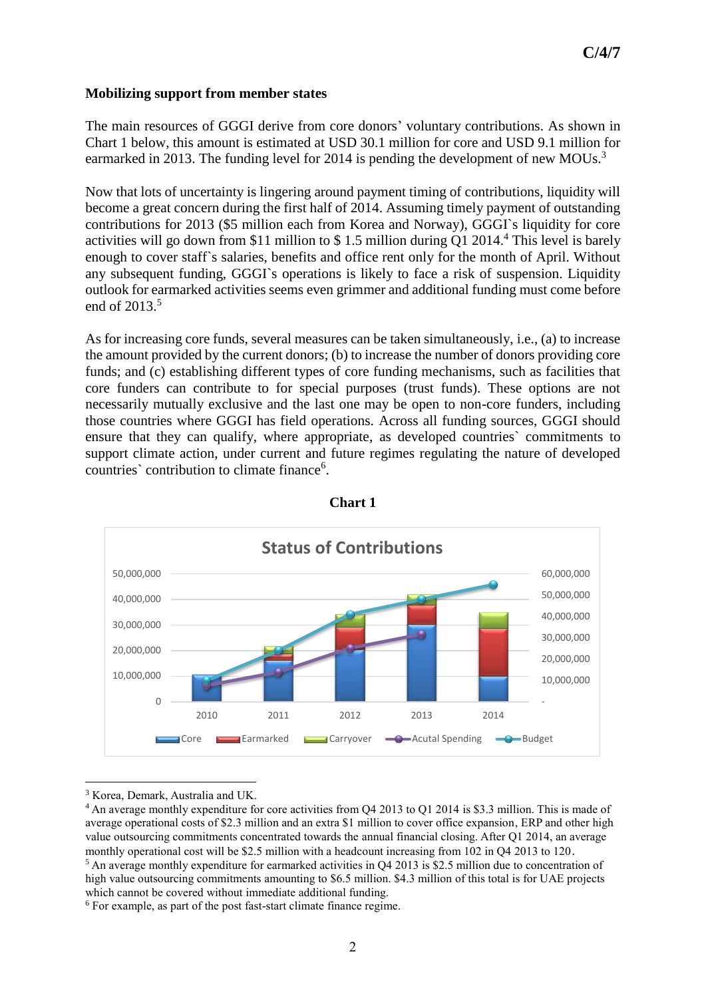# **Mobilizing support from member states**

The main resources of GGGI derive from core donors' voluntary contributions. As shown in Chart 1 below, this amount is estimated at USD 30.1 million for core and USD 9.1 million for earmarked in 2013. The funding level for 2014 is pending the development of new MOUs.<sup>3</sup>

Now that lots of uncertainty is lingering around payment timing of contributions, liquidity will become a great concern during the first half of 2014. Assuming timely payment of outstanding contributions for 2013 (\$5 million each from Korea and Norway), GGGI`s liquidity for core activities will go down from \$11 million to \$1.5 million during  $O1 2014<sup>4</sup>$ . This level is barely enough to cover staff`s salaries, benefits and office rent only for the month of April. Without any subsequent funding, GGGI`s operations is likely to face a risk of suspension. Liquidity outlook for earmarked activities seems even grimmer and additional funding must come before end of 2013.<sup>5</sup>

As for increasing core funds, several measures can be taken simultaneously, i.e., (a) to increase the amount provided by the current donors; (b) to increase the number of donors providing core funds; and (c) establishing different types of core funding mechanisms, such as facilities that core funders can contribute to for special purposes (trust funds). These options are not necessarily mutually exclusive and the last one may be open to non-core funders, including those countries where GGGI has field operations. Across all funding sources, GGGI should ensure that they can qualify, where appropriate, as developed countries` commitments to support climate action, under current and future regimes regulating the nature of developed countries' contribution to climate finance<sup>6</sup>.





 $\overline{a}$ 

<sup>3</sup> Korea, Demark, Australia and UK.

<sup>4</sup> An average monthly expenditure for core activities from Q4 2013 to Q1 2014 is \$3.3 million. This is made of average operational costs of \$2.3 million and an extra \$1 million to cover office expansion, ERP and other high value outsourcing commitments concentrated towards the annual financial closing. After Q1 2014, an average monthly operational cost will be \$2.5 million with a headcount increasing from 102 in O4 2013 to 120. <sup>5</sup> An average monthly expenditure for earmarked activities in O4 2013 is \$2.5 million due to concentration of high value outsourcing commitments amounting to \$6.5 million. \$4.3 million of this total is for UAE projects which cannot be covered without immediate additional funding.

<sup>6</sup> For example, as part of the post fast-start climate finance regime.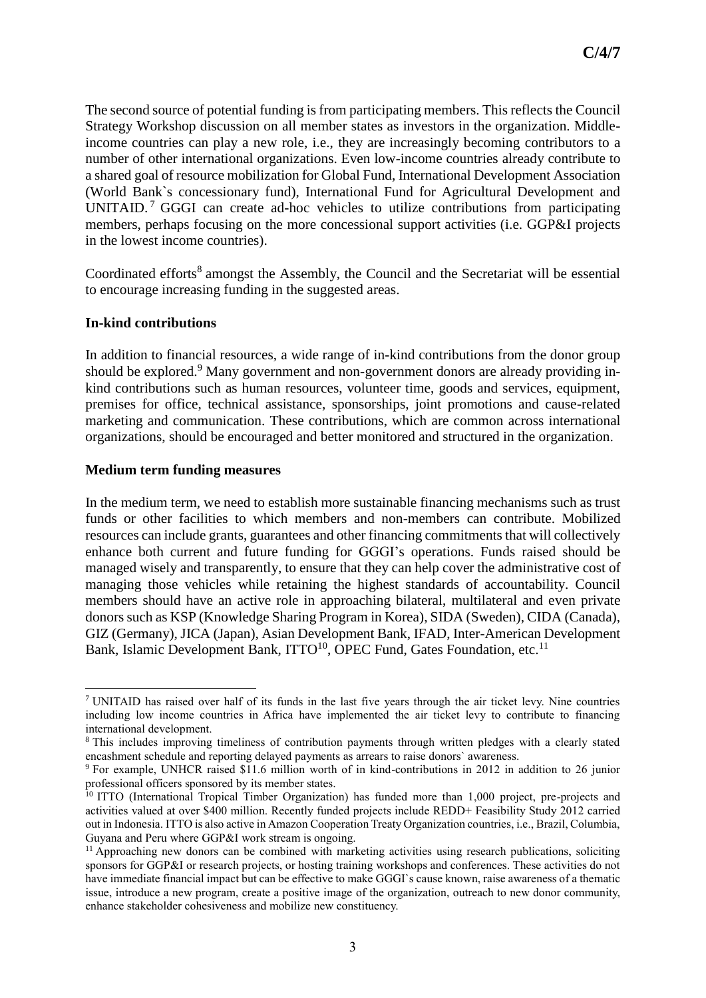The second source of potential funding is from participating members. This reflects the Council Strategy Workshop discussion on all member states as investors in the organization. Middleincome countries can play a new role, i.e., they are increasingly becoming contributors to a number of other international organizations. Even low-income countries already contribute to a shared goal of resource mobilization for Global Fund, International Development Association (World Bank`s concessionary fund), International Fund for Agricultural Development and UNITAID.<sup>7</sup> GGGI can create ad-hoc vehicles to utilize contributions from participating members, perhaps focusing on the more concessional support activities (i.e. GGP&I projects in the lowest income countries).

Coordinated efforts<sup>8</sup> amongst the Assembly, the Council and the Secretariat will be essential to encourage increasing funding in the suggested areas.

#### **In-kind contributions**

**.** 

In addition to financial resources, a wide range of in-kind contributions from the donor group should be explored.<sup>9</sup> Many government and non-government donors are already providing inkind contributions such as human resources, volunteer time, goods and services, equipment, premises for office, technical assistance, sponsorships, joint promotions and cause-related marketing and communication. These contributions, which are common across international organizations, should be encouraged and better monitored and structured in the organization.

#### **Medium term funding measures**

In the medium term, we need to establish more sustainable financing mechanisms such as trust funds or other facilities to which members and non-members can contribute. Mobilized resources can include grants, guarantees and other financing commitments that will collectively enhance both current and future funding for GGGI's operations. Funds raised should be managed wisely and transparently, to ensure that they can help cover the administrative cost of managing those vehicles while retaining the highest standards of accountability. Council members should have an active role in approaching bilateral, multilateral and even private donors such as KSP (Knowledge Sharing Program in Korea), SIDA (Sweden), CIDA (Canada), GIZ (Germany), JICA (Japan), Asian Development Bank, IFAD, Inter-American Development Bank, Islamic Development Bank, ITTO<sup>10</sup>, OPEC Fund, Gates Foundation, etc.<sup>11</sup>

<sup>7</sup> UNITAID has raised over half of its funds in the last five years through the air ticket levy. Nine countries including low income countries in Africa have implemented the air ticket levy to contribute to financing international development.

<sup>&</sup>lt;sup>8</sup> This includes improving timeliness of contribution payments through written pledges with a clearly stated encashment schedule and reporting delayed payments as arrears to raise donors` awareness.

<sup>&</sup>lt;sup>9</sup> For example, UNHCR raised \$11.6 million worth of in kind-contributions in 2012 in addition to 26 junior professional officers sponsored by its member states.

<sup>&</sup>lt;sup>10</sup> ITTO (International Tropical Timber Organization) has funded more than 1,000 project, pre-projects and activities valued at over \$400 million. Recently funded projects include REDD+ Feasibility Study 2012 carried out in Indonesia. ITTO is also active in Amazon Cooperation Treaty Organization countries, i.e., Brazil, Columbia, Guyana and Peru where GGP&I work stream is ongoing.

<sup>&</sup>lt;sup>11</sup> Approaching new donors can be combined with marketing activities using research publications, soliciting sponsors for GGP&I or research projects, or hosting training workshops and conferences. These activities do not have immediate financial impact but can be effective to make GGGI`s cause known, raise awareness of a thematic issue, introduce a new program, create a positive image of the organization, outreach to new donor community, enhance stakeholder cohesiveness and mobilize new constituency.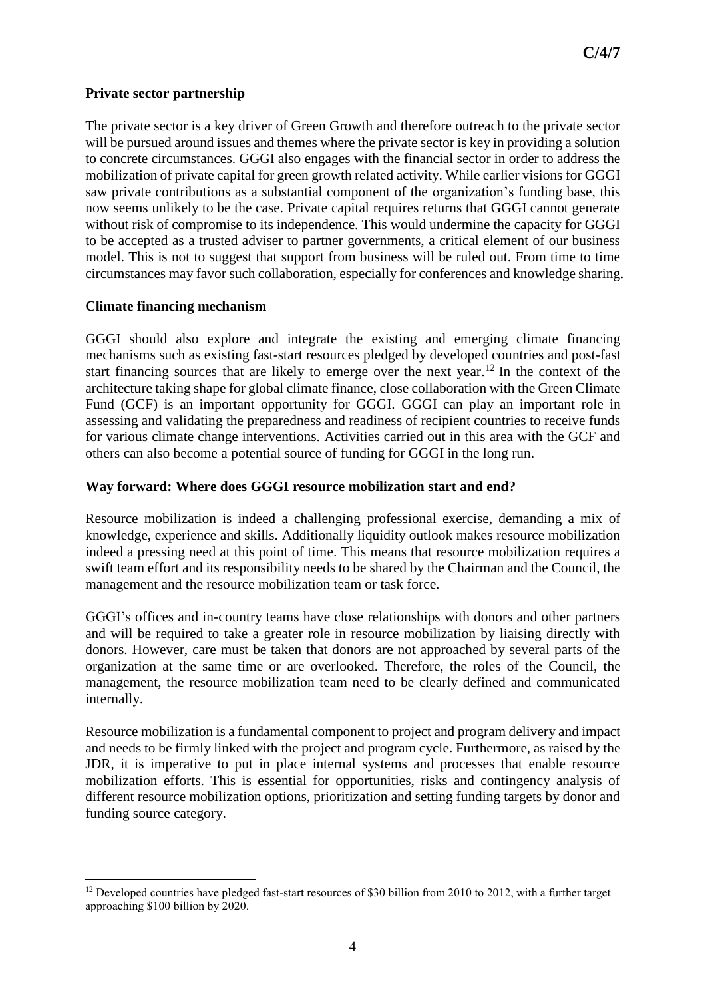## **Private sector partnership**

The private sector is a key driver of Green Growth and therefore outreach to the private sector will be pursued around issues and themes where the private sector is key in providing a solution to concrete circumstances. GGGI also engages with the financial sector in order to address the mobilization of private capital for green growth related activity. While earlier visions for GGGI saw private contributions as a substantial component of the organization's funding base, this now seems unlikely to be the case. Private capital requires returns that GGGI cannot generate without risk of compromise to its independence. This would undermine the capacity for GGGI to be accepted as a trusted adviser to partner governments, a critical element of our business model. This is not to suggest that support from business will be ruled out. From time to time circumstances may favor such collaboration, especially for conferences and knowledge sharing.

## **Climate financing mechanism**

GGGI should also explore and integrate the existing and emerging climate financing mechanisms such as existing fast-start resources pledged by developed countries and post-fast start financing sources that are likely to emerge over the next year.<sup>12</sup> In the context of the architecture taking shape for global climate finance, close collaboration with the Green Climate Fund (GCF) is an important opportunity for GGGI. GGGI can play an important role in assessing and validating the preparedness and readiness of recipient countries to receive funds for various climate change interventions. Activities carried out in this area with the GCF and others can also become a potential source of funding for GGGI in the long run.

# **Way forward: Where does GGGI resource mobilization start and end?**

Resource mobilization is indeed a challenging professional exercise, demanding a mix of knowledge, experience and skills. Additionally liquidity outlook makes resource mobilization indeed a pressing need at this point of time. This means that resource mobilization requires a swift team effort and its responsibility needs to be shared by the Chairman and the Council, the management and the resource mobilization team or task force.

GGGI's offices and in-country teams have close relationships with donors and other partners and will be required to take a greater role in resource mobilization by liaising directly with donors. However, care must be taken that donors are not approached by several parts of the organization at the same time or are overlooked. Therefore, the roles of the Council, the management, the resource mobilization team need to be clearly defined and communicated internally.

Resource mobilization is a fundamental component to project and program delivery and impact and needs to be firmly linked with the project and program cycle. Furthermore, as raised by the JDR, it is imperative to put in place internal systems and processes that enable resource mobilization efforts. This is essential for opportunities, risks and contingency analysis of different resource mobilization options, prioritization and setting funding targets by donor and funding source category.

<sup>1</sup> <sup>12</sup> Developed countries have pledged fast-start resources of \$30 billion from 2010 to 2012, with a further target approaching \$100 billion by 2020.